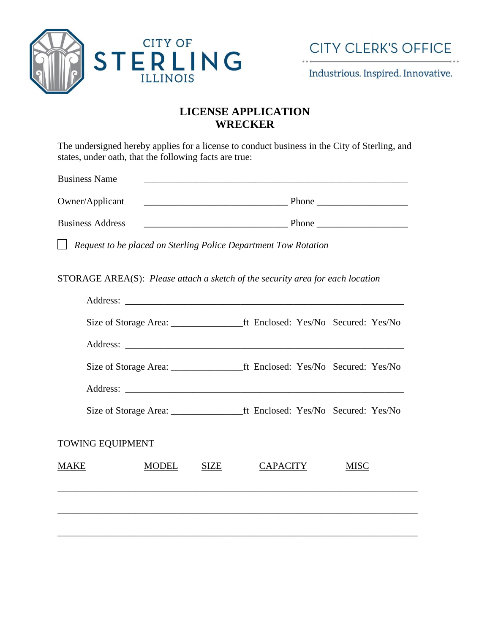

Industrious. Inspired. Innovative.

# **LICENSE APPLICATION WRECKER**

The undersigned hereby applies for a license to conduct business in the City of Sterling, and states, under oath, that the following facts are true:

Business Name

Owner/Applicant \_\_\_\_\_\_\_\_\_\_\_\_\_\_\_\_\_\_\_\_\_\_\_\_\_\_\_\_\_\_ Phone \_\_\_\_\_\_\_\_\_\_\_\_\_\_\_\_\_\_\_

Business Address \_\_\_\_\_\_\_\_\_\_\_\_\_\_\_\_\_\_\_\_\_\_\_\_\_\_\_\_\_\_ Phone \_\_\_\_\_\_\_\_\_\_\_\_\_\_\_\_\_\_\_

*Request to be placed on Sterling Police Department Tow Rotation*

STORAGE AREA(S): *Please attach a sketch of the security area for each location*

| <b>TOWING EQUIPMENT</b> |              |      |                 |             |
|-------------------------|--------------|------|-----------------|-------------|
| MAKE                    | <b>MODEL</b> | SIZE | <b>CAPACITY</b> | <b>MISC</b> |
|                         |              |      |                 |             |
|                         |              |      |                 |             |
|                         |              |      |                 |             |